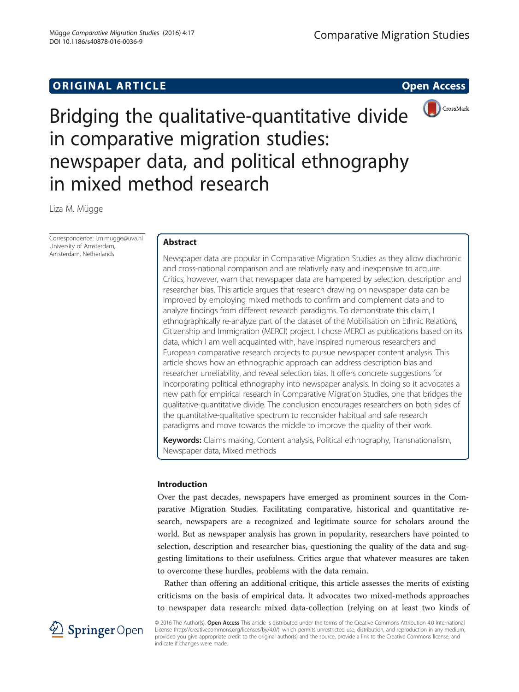## **ORIGINAL ARTICLE CONSUMING A LIGACION** CONSUMING A LIGACION CONSUMING A LIGACION CONSUMING A LIGACION CONSUMING A LIGACION CONSUMING A LIGACION CONSUMING A LIGACION CONSUMING A LIGACION CONSUMING A LIGACION CONSUMING A



# Bridging the qualitative-quantitative divide in comparative migration studies: newspaper data, and political ethnography in mixed method research

Liza M. Mügge

Correspondence: [l.m.mugge@uva.nl](mailto:l.m.mugge@uva.nl) University of Amsterdam, Amsterdam, Netherlands

## Abstract

Newspaper data are popular in Comparative Migration Studies as they allow diachronic and cross-national comparison and are relatively easy and inexpensive to acquire. Critics, however, warn that newspaper data are hampered by selection, description and researcher bias. This article argues that research drawing on newspaper data can be improved by employing mixed methods to confirm and complement data and to analyze findings from different research paradigms. To demonstrate this claim, I ethnographically re-analyze part of the dataset of the Mobilisation on Ethnic Relations, Citizenship and Immigration (MERCI) project. I chose MERCI as publications based on its data, which I am well acquainted with, have inspired numerous researchers and European comparative research projects to pursue newspaper content analysis. This article shows how an ethnographic approach can address description bias and researcher unreliability, and reveal selection bias. It offers concrete suggestions for incorporating political ethnography into newspaper analysis. In doing so it advocates a new path for empirical research in Comparative Migration Studies, one that bridges the qualitative-quantitative divide. The conclusion encourages researchers on both sides of the quantitative-qualitative spectrum to reconsider habitual and safe research paradigms and move towards the middle to improve the quality of their work.

Keywords: Claims making, Content analysis, Political ethnography, Transnationalism, Newspaper data, Mixed methods

## Introduction

Over the past decades, newspapers have emerged as prominent sources in the Comparative Migration Studies. Facilitating comparative, historical and quantitative research, newspapers are a recognized and legitimate source for scholars around the world. But as newspaper analysis has grown in popularity, researchers have pointed to selection, description and researcher bias, questioning the quality of the data and suggesting limitations to their usefulness. Critics argue that whatever measures are taken to overcome these hurdles, problems with the data remain.

Rather than offering an additional critique, this article assesses the merits of existing criticisms on the basis of empirical data. It advocates two mixed-methods approaches to newspaper data research: mixed data-collection (relying on at least two kinds of



© 2016 The Author(s). Open Access This article is distributed under the terms of the Creative Commons Attribution 4.0 International License [\(http://creativecommons.org/licenses/by/4.0/](http://creativecommons.org/licenses/by/4.0/)), which permits unrestricted use, distribution, and reproduction in any medium, provided you give appropriate credit to the original author(s) and the source, provide a link to the Creative Commons license, and indicate if changes were made.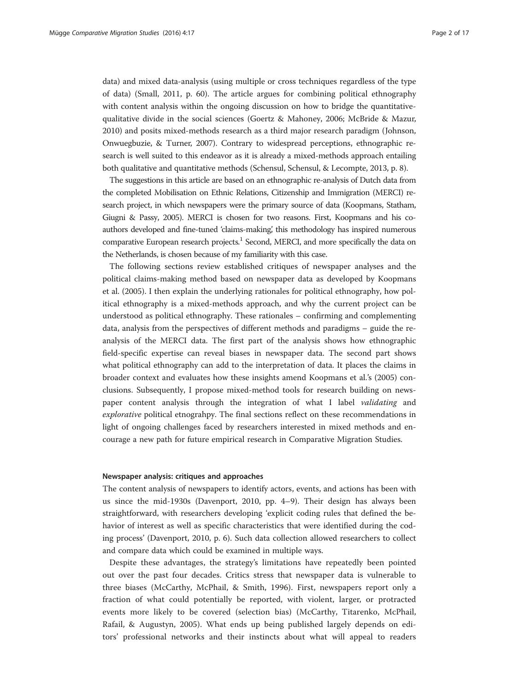data) and mixed data-analysis (using multiple or cross techniques regardless of the type of data) (Small, [2011,](#page-16-0) p. 60). The article argues for combining political ethnography with content analysis within the ongoing discussion on how to bridge the quantitativequalitative divide in the social sciences (Goertz & Mahoney, [2006;](#page-15-0) McBride & Mazur, [2010](#page-15-0)) and posits mixed-methods research as a third major research paradigm (Johnson, Onwuegbuzie, & Turner, [2007](#page-15-0)). Contrary to widespread perceptions, ethnographic research is well suited to this endeavor as it is already a mixed-methods approach entailing both qualitative and quantitative methods (Schensul, Schensul, & Lecompte, [2013](#page-16-0), p. 8).

The suggestions in this article are based on an ethnographic re-analysis of Dutch data from the completed Mobilisation on Ethnic Relations, Citizenship and Immigration (MERCI) research project, in which newspapers were the primary source of data (Koopmans, Statham, Giugni & Passy, [2005\)](#page-15-0). MERCI is chosen for two reasons. First, Koopmans and his coauthors developed and fine-tuned 'claims-making, this methodology has inspired numerous ' comparative European research projects.<sup>1</sup> Second, MERCI, and more specifically the data on the Netherlands, is chosen because of my familiarity with this case.

The following sections review established critiques of newspaper analyses and the political claims-making method based on newspaper data as developed by Koopmans et al. [\(2005\)](#page-15-0). I then explain the underlying rationales for political ethnography, how political ethnography is a mixed-methods approach, and why the current project can be understood as political ethnography. These rationales – confirming and complementing data, analysis from the perspectives of different methods and paradigms – guide the reanalysis of the MERCI data. The first part of the analysis shows how ethnographic field-specific expertise can reveal biases in newspaper data. The second part shows what political ethnography can add to the interpretation of data. It places the claims in broader context and evaluates how these insights amend Koopmans et al.'s [\(2005\)](#page-15-0) conclusions. Subsequently, I propose mixed-method tools for research building on newspaper content analysis through the integration of what I label validating and explorative political etnograhpy. The final sections reflect on these recommendations in light of ongoing challenges faced by researchers interested in mixed methods and encourage a new path for future empirical research in Comparative Migration Studies.

#### Newspaper analysis: critiques and approaches

The content analysis of newspapers to identify actors, events, and actions has been with us since the mid-1930s (Davenport, [2010](#page-15-0), pp. 4–9). Their design has always been straightforward, with researchers developing 'explicit coding rules that defined the behavior of interest as well as specific characteristics that were identified during the coding process' (Davenport, [2010](#page-15-0), p. 6). Such data collection allowed researchers to collect and compare data which could be examined in multiple ways.

Despite these advantages, the strategy's limitations have repeatedly been pointed out over the past four decades. Critics stress that newspaper data is vulnerable to three biases (McCarthy, McPhail, & Smith, [1996\)](#page-15-0). First, newspapers report only a fraction of what could potentially be reported, with violent, larger, or protracted events more likely to be covered (selection bias) (McCarthy, Titarenko, McPhail, Rafail, & Augustyn, [2005](#page-15-0)). What ends up being published largely depends on editors' professional networks and their instincts about what will appeal to readers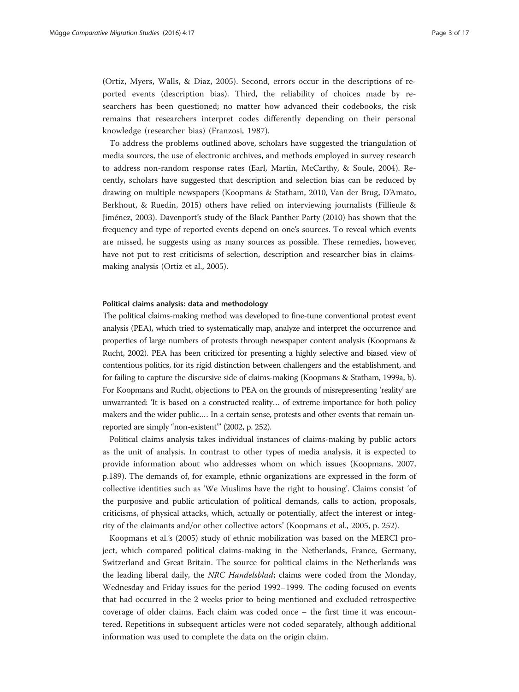(Ortiz, Myers, Walls, & Diaz, [2005\)](#page-16-0). Second, errors occur in the descriptions of reported events (description bias). Third, the reliability of choices made by researchers has been questioned; no matter how advanced their codebooks, the risk remains that researchers interpret codes differently depending on their personal knowledge (researcher bias) (Franzosi, [1987](#page-15-0)).

To address the problems outlined above, scholars have suggested the triangulation of media sources, the use of electronic archives, and methods employed in survey research to address non-random response rates (Earl, Martin, McCarthy, & Soule, [2004\)](#page-15-0). Recently, scholars have suggested that description and selection bias can be reduced by drawing on multiple newspapers (Koopmans & Statham, [2010,](#page-15-0) Van der Brug, D'Amato, Berkhout, & Ruedin, [2015](#page-16-0)) others have relied on interviewing journalists (Fillieule & Jiménez, [2003\)](#page-15-0). Davenport's study of the Black Panther Party ([2010](#page-15-0)) has shown that the frequency and type of reported events depend on one's sources. To reveal which events are missed, he suggests using as many sources as possible. These remedies, however, have not put to rest criticisms of selection, description and researcher bias in claimsmaking analysis (Ortiz et al., [2005\)](#page-16-0).

#### Political claims analysis: data and methodology

The political claims-making method was developed to fine-tune conventional protest event analysis (PEA), which tried to systematically map, analyze and interpret the occurrence and properties of large numbers of protests through newspaper content analysis (Koopmans & Rucht, [2002](#page-15-0)). PEA has been criticized for presenting a highly selective and biased view of contentious politics, for its rigid distinction between challengers and the establishment, and for failing to capture the discursive side of claims-making (Koopmans & Statham, [1999a, b](#page-15-0)). For Koopmans and Rucht, objections to PEA on the grounds of misrepresenting 'reality' are unwarranted: 'It is based on a constructed reality… of extreme importance for both policy makers and the wider public.… In a certain sense, protests and other events that remain unreported are simply "non-existent"' [\(2002](#page-15-0), p. 252).

Political claims analysis takes individual instances of claims-making by public actors as the unit of analysis. In contrast to other types of media analysis, it is expected to provide information about who addresses whom on which issues (Koopmans, [2007](#page-15-0), p.189). The demands of, for example, ethnic organizations are expressed in the form of collective identities such as 'We Muslims have the right to housing'. Claims consist 'of the purposive and public articulation of political demands, calls to action, proposals, criticisms, of physical attacks, which, actually or potentially, affect the interest or integrity of the claimants and/or other collective actors' (Koopmans et al., [2005,](#page-15-0) p. 252).

Koopmans et al.'s ([2005](#page-15-0)) study of ethnic mobilization was based on the MERCI project, which compared political claims-making in the Netherlands, France, Germany, Switzerland and Great Britain. The source for political claims in the Netherlands was the leading liberal daily, the NRC Handelsblad; claims were coded from the Monday, Wednesday and Friday issues for the period 1992–1999. The coding focused on events that had occurred in the 2 weeks prior to being mentioned and excluded retrospective coverage of older claims. Each claim was coded once – the first time it was encountered. Repetitions in subsequent articles were not coded separately, although additional information was used to complete the data on the origin claim.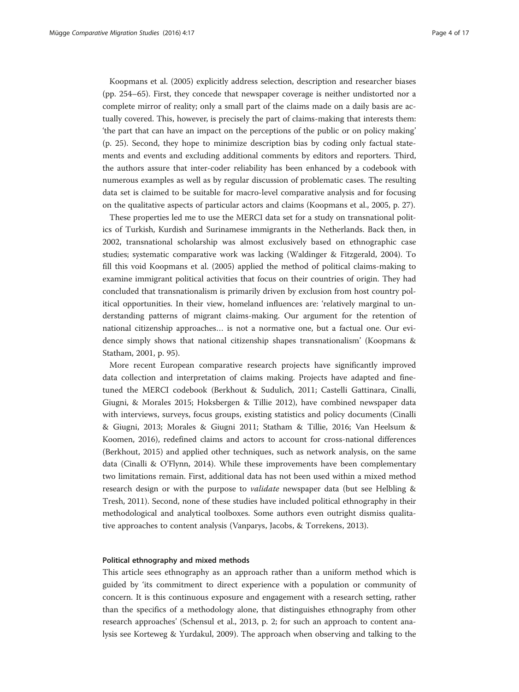Koopmans et al. [\(2005\)](#page-15-0) explicitly address selection, description and researcher biases (pp. 254–65). First, they concede that newspaper coverage is neither undistorted nor a complete mirror of reality; only a small part of the claims made on a daily basis are actually covered. This, however, is precisely the part of claims-making that interests them: 'the part that can have an impact on the perceptions of the public or on policy making' (p. 25). Second, they hope to minimize description bias by coding only factual statements and events and excluding additional comments by editors and reporters. Third, the authors assure that inter-coder reliability has been enhanced by a codebook with numerous examples as well as by regular discussion of problematic cases. The resulting data set is claimed to be suitable for macro-level comparative analysis and for focusing on the qualitative aspects of particular actors and claims (Koopmans et al., [2005](#page-15-0), p. 27).

These properties led me to use the MERCI data set for a study on transnational politics of Turkish, Kurdish and Surinamese immigrants in the Netherlands. Back then, in 2002, transnational scholarship was almost exclusively based on ethnographic case studies; systematic comparative work was lacking (Waldinger & Fitzgerald, [2004\)](#page-16-0). To fill this void Koopmans et al. [\(2005\)](#page-15-0) applied the method of political claims-making to examine immigrant political activities that focus on their countries of origin. They had concluded that transnationalism is primarily driven by exclusion from host country political opportunities. In their view, homeland influences are: 'relatively marginal to understanding patterns of migrant claims-making. Our argument for the retention of national citizenship approaches… is not a normative one, but a factual one. Our evidence simply shows that national citizenship shapes transnationalism' (Koopmans & Statham, [2001,](#page-15-0) p. 95).

More recent European comparative research projects have significantly improved data collection and interpretation of claims making. Projects have adapted and finetuned the MERCI codebook (Berkhout & Sudulich, [2011;](#page-15-0) Castelli Gattinara, Cinalli, Giugni, & Morales [2015;](#page-15-0) Hoksbergen & Tillie [2012](#page-15-0)), have combined newspaper data with interviews, surveys, focus groups, existing statistics and policy documents (Cinalli & Giugni, [2013;](#page-15-0) Morales & Giugni [2011;](#page-15-0) Statham & Tillie, [2016;](#page-16-0) Van Heelsum & Koomen, [2016](#page-16-0)), redefined claims and actors to account for cross-national differences (Berkhout, [2015](#page-14-0)) and applied other techniques, such as network analysis, on the same data (Cinalli & O'Flynn, [2014](#page-15-0)). While these improvements have been complementary two limitations remain. First, additional data has not been used within a mixed method research design or with the purpose to *validate* newspaper data (but see Helbling & Tresh, [2011](#page-15-0)). Second, none of these studies have included political ethnography in their methodological and analytical toolboxes. Some authors even outright dismiss qualitative approaches to content analysis (Vanparys, Jacobs, & Torrekens, [2013\)](#page-16-0).

#### Political ethnography and mixed methods

This article sees ethnography as an approach rather than a uniform method which is guided by 'its commitment to direct experience with a population or community of concern. It is this continuous exposure and engagement with a research setting, rather than the specifics of a methodology alone, that distinguishes ethnography from other research approaches' (Schensul et al., [2013,](#page-16-0) p. 2; for such an approach to content analysis see Korteweg & Yurdakul, [2009](#page-15-0)). The approach when observing and talking to the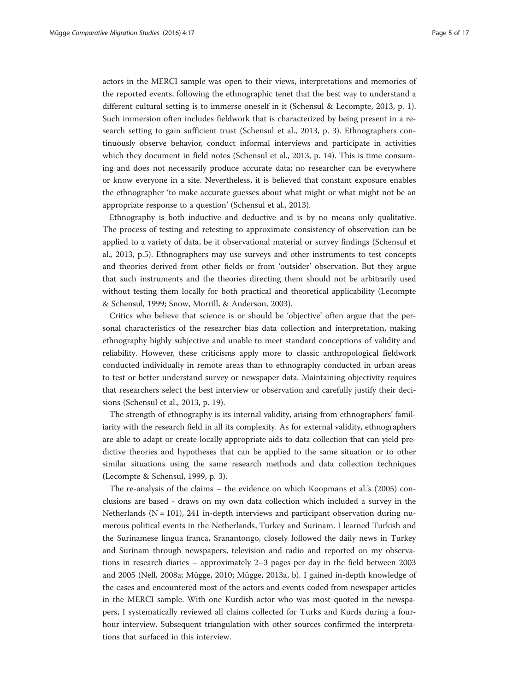actors in the MERCI sample was open to their views, interpretations and memories of the reported events, following the ethnographic tenet that the best way to understand a different cultural setting is to immerse oneself in it (Schensul & Lecompte, [2013](#page-16-0), p. 1). Such immersion often includes fieldwork that is characterized by being present in a research setting to gain sufficient trust (Schensul et al., [2013,](#page-16-0) p. 3). Ethnographers continuously observe behavior, conduct informal interviews and participate in activities which they document in field notes (Schensul et al., [2013](#page-16-0), p. 14). This is time consuming and does not necessarily produce accurate data; no researcher can be everywhere or know everyone in a site. Nevertheless, it is believed that constant exposure enables the ethnographer 'to make accurate guesses about what might or what might not be an appropriate response to a question' (Schensul et al., [2013](#page-16-0)).

Ethnography is both inductive and deductive and is by no means only qualitative. The process of testing and retesting to approximate consistency of observation can be applied to a variety of data, be it observational material or survey findings (Schensul et al., [2013](#page-16-0), p.5). Ethnographers may use surveys and other instruments to test concepts and theories derived from other fields or from 'outsider' observation. But they argue that such instruments and the theories directing them should not be arbitrarily used without testing them locally for both practical and theoretical applicability (Lecompte & Schensul, [1999;](#page-15-0) Snow, Morrill, & Anderson, [2003](#page-16-0)).

Critics who believe that science is or should be 'objective' often argue that the personal characteristics of the researcher bias data collection and interpretation, making ethnography highly subjective and unable to meet standard conceptions of validity and reliability. However, these criticisms apply more to classic anthropological fieldwork conducted individually in remote areas than to ethnography conducted in urban areas to test or better understand survey or newspaper data. Maintaining objectivity requires that researchers select the best interview or observation and carefully justify their decisions (Schensul et al., [2013,](#page-16-0) p. 19).

The strength of ethnography is its internal validity, arising from ethnographers' familiarity with the research field in all its complexity. As for external validity, ethnographers are able to adapt or create locally appropriate aids to data collection that can yield predictive theories and hypotheses that can be applied to the same situation or to other similar situations using the same research methods and data collection techniques (Lecompte & Schensul, [1999](#page-15-0), p. 3).

The re-analysis of the claims – the evidence on which Koopmans et al.'s ([2005\)](#page-15-0) conclusions are based - draws on my own data collection which included a survey in the Netherlands ( $N = 101$ ), 241 in-depth interviews and participant observation during numerous political events in the Netherlands, Turkey and Surinam. I learned Turkish and the Surinamese lingua franca, Sranantongo, closely followed the daily news in Turkey and Surinam through newspapers, television and radio and reported on my observations in research diaries – approximately 2–3 pages per day in the field between 2003 and 2005 (Nell, [2008a](#page-16-0); Mügge, [2010;](#page-16-0) Mügge, [2013a](#page-16-0), [b](#page-16-0)). I gained in-depth knowledge of the cases and encountered most of the actors and events coded from newspaper articles in the MERCI sample. With one Kurdish actor who was most quoted in the newspapers, I systematically reviewed all claims collected for Turks and Kurds during a fourhour interview. Subsequent triangulation with other sources confirmed the interpretations that surfaced in this interview.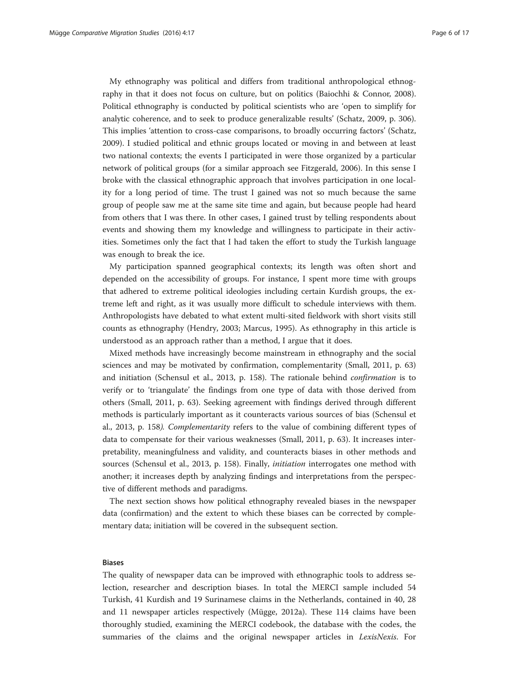My ethnography was political and differs from traditional anthropological ethnography in that it does not focus on culture, but on politics (Baiochhi & Connor, [2008](#page-14-0)). Political ethnography is conducted by political scientists who are 'open to simplify for analytic coherence, and to seek to produce generalizable results' (Schatz, [2009](#page-16-0), p. 306). This implies 'attention to cross-case comparisons, to broadly occurring factors' (Schatz, [2009](#page-16-0)). I studied political and ethnic groups located or moving in and between at least two national contexts; the events I participated in were those organized by a particular network of political groups (for a similar approach see Fitzgerald, [2006\)](#page-15-0). In this sense I broke with the classical ethnographic approach that involves participation in one locality for a long period of time. The trust I gained was not so much because the same group of people saw me at the same site time and again, but because people had heard from others that I was there. In other cases, I gained trust by telling respondents about events and showing them my knowledge and willingness to participate in their activities. Sometimes only the fact that I had taken the effort to study the Turkish language was enough to break the ice.

My participation spanned geographical contexts; its length was often short and depended on the accessibility of groups. For instance, I spent more time with groups that adhered to extreme political ideologies including certain Kurdish groups, the extreme left and right, as it was usually more difficult to schedule interviews with them. Anthropologists have debated to what extent multi-sited fieldwork with short visits still counts as ethnography (Hendry, [2003;](#page-15-0) Marcus, [1995](#page-15-0)). As ethnography in this article is understood as an approach rather than a method, I argue that it does.

Mixed methods have increasingly become mainstream in ethnography and the social sciences and may be motivated by confirmation, complementarity (Small, [2011,](#page-16-0) p. 63) and initiation (Schensul et al., [2013](#page-16-0), p. 158). The rationale behind confirmation is to verify or to 'triangulate' the findings from one type of data with those derived from others (Small, [2011](#page-16-0), p. 63). Seeking agreement with findings derived through different methods is particularly important as it counteracts various sources of bias (Schensul et al., [2013](#page-16-0), p. 158). Complementarity refers to the value of combining different types of data to compensate for their various weaknesses (Small, [2011](#page-16-0), p. 63). It increases interpretability, meaningfulness and validity, and counteracts biases in other methods and sources (Schensul et al., [2013](#page-16-0), p. 158). Finally, initiation interrogates one method with another; it increases depth by analyzing findings and interpretations from the perspective of different methods and paradigms.

The next section shows how political ethnography revealed biases in the newspaper data (confirmation) and the extent to which these biases can be corrected by complementary data; initiation will be covered in the subsequent section.

#### Biases

The quality of newspaper data can be improved with ethnographic tools to address selection, researcher and description biases. In total the MERCI sample included 54 Turkish, 41 Kurdish and 19 Surinamese claims in the Netherlands, contained in 40, 28 and 11 newspaper articles respectively (Mügge, [2012a\)](#page-16-0). These 114 claims have been thoroughly studied, examining the MERCI codebook, the database with the codes, the summaries of the claims and the original newspaper articles in LexisNexis. For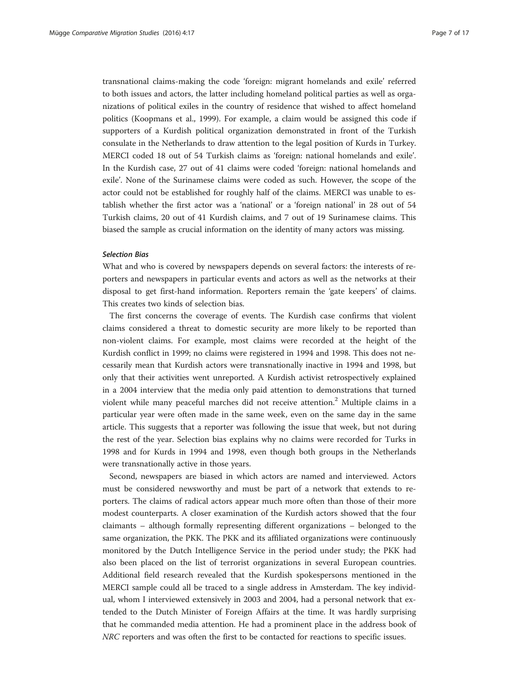transnational claims-making the code 'foreign: migrant homelands and exile' referred to both issues and actors, the latter including homeland political parties as well as organizations of political exiles in the country of residence that wished to affect homeland politics (Koopmans et al., [1999](#page-15-0)). For example, a claim would be assigned this code if supporters of a Kurdish political organization demonstrated in front of the Turkish consulate in the Netherlands to draw attention to the legal position of Kurds in Turkey. MERCI coded 18 out of 54 Turkish claims as 'foreign: national homelands and exile'. In the Kurdish case, 27 out of 41 claims were coded 'foreign: national homelands and exile'. None of the Surinamese claims were coded as such. However, the scope of the actor could not be established for roughly half of the claims. MERCI was unable to establish whether the first actor was a 'national' or a 'foreign national' in 28 out of 54 Turkish claims, 20 out of 41 Kurdish claims, and 7 out of 19 Surinamese claims. This biased the sample as crucial information on the identity of many actors was missing.

#### Selection Bias

What and who is covered by newspapers depends on several factors: the interests of reporters and newspapers in particular events and actors as well as the networks at their disposal to get first-hand information. Reporters remain the 'gate keepers' of claims. This creates two kinds of selection bias.

The first concerns the coverage of events. The Kurdish case confirms that violent claims considered a threat to domestic security are more likely to be reported than non-violent claims. For example, most claims were recorded at the height of the Kurdish conflict in 1999; no claims were registered in 1994 and 1998. This does not necessarily mean that Kurdish actors were transnationally inactive in 1994 and 1998, but only that their activities went unreported. A Kurdish activist retrospectively explained in a 2004 interview that the media only paid attention to demonstrations that turned violent while many peaceful marches did not receive attention.<sup>2</sup> Multiple claims in a particular year were often made in the same week, even on the same day in the same article. This suggests that a reporter was following the issue that week, but not during the rest of the year. Selection bias explains why no claims were recorded for Turks in 1998 and for Kurds in 1994 and 1998, even though both groups in the Netherlands were transnationally active in those years.

Second, newspapers are biased in which actors are named and interviewed. Actors must be considered newsworthy and must be part of a network that extends to reporters. The claims of radical actors appear much more often than those of their more modest counterparts. A closer examination of the Kurdish actors showed that the four claimants – although formally representing different organizations – belonged to the same organization, the PKK. The PKK and its affiliated organizations were continuously monitored by the Dutch Intelligence Service in the period under study; the PKK had also been placed on the list of terrorist organizations in several European countries. Additional field research revealed that the Kurdish spokespersons mentioned in the MERCI sample could all be traced to a single address in Amsterdam. The key individual, whom I interviewed extensively in 2003 and 2004, had a personal network that extended to the Dutch Minister of Foreign Affairs at the time. It was hardly surprising that he commanded media attention. He had a prominent place in the address book of NRC reporters and was often the first to be contacted for reactions to specific issues.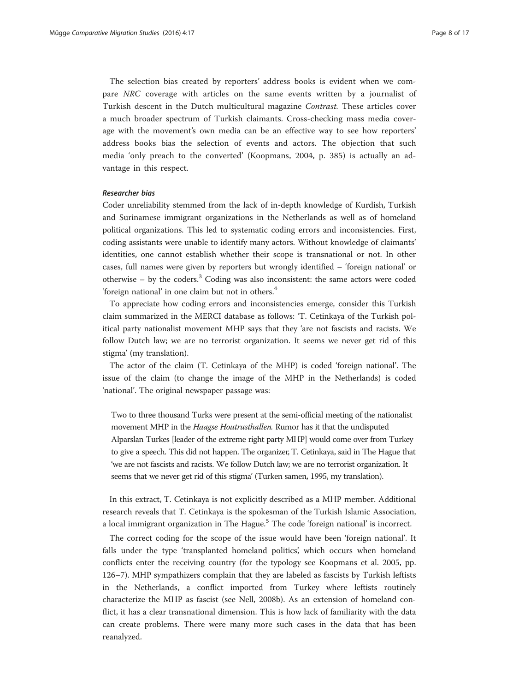The selection bias created by reporters' address books is evident when we compare NRC coverage with articles on the same events written by a journalist of Turkish descent in the Dutch multicultural magazine Contrast. These articles cover a much broader spectrum of Turkish claimants. Cross-checking mass media coverage with the movement's own media can be an effective way to see how reporters' address books bias the selection of events and actors. The objection that such media 'only preach to the converted' (Koopmans, [2004](#page-15-0), p. 385) is actually an advantage in this respect.

#### Researcher bias

Coder unreliability stemmed from the lack of in-depth knowledge of Kurdish, Turkish and Surinamese immigrant organizations in the Netherlands as well as of homeland political organizations. This led to systematic coding errors and inconsistencies. First, coding assistants were unable to identify many actors. Without knowledge of claimants' identities, one cannot establish whether their scope is transnational or not. In other cases, full names were given by reporters but wrongly identified – 'foreign national' or otherwise – by the coders. $3$  Coding was also inconsistent: the same actors were coded 'foreign national' in one claim but not in others. $4$ 

To appreciate how coding errors and inconsistencies emerge, consider this Turkish claim summarized in the MERCI database as follows: 'T. Cetinkaya of the Turkish political party nationalist movement MHP says that they 'are not fascists and racists. We follow Dutch law; we are no terrorist organization. It seems we never get rid of this stigma' (my translation).

The actor of the claim (T. Cetinkaya of the MHP) is coded 'foreign national'. The issue of the claim (to change the image of the MHP in the Netherlands) is coded 'national'. The original newspaper passage was:

Two to three thousand Turks were present at the semi-official meeting of the nationalist movement MHP in the Haagse Houtrusthallen. Rumor has it that the undisputed Alparslan Turkes [leader of the extreme right party MHP] would come over from Turkey to give a speech. This did not happen. The organizer, T. Cetinkaya, said in The Hague that 'we are not fascists and racists. We follow Dutch law; we are no terrorist organization. It seems that we never get rid of this stigma' (Turken samen, [1995](#page-16-0), my translation).

In this extract, T. Cetinkaya is not explicitly described as a MHP member. Additional research reveals that T. Cetinkaya is the spokesman of the Turkish Islamic Association, a local immigrant organization in The Hague.<sup>5</sup> The code 'foreign national' is incorrect.

The correct coding for the scope of the issue would have been 'foreign national'. It falls under the type 'transplanted homeland politics', which occurs when homeland conflicts enter the receiving country (for the typology see Koopmans et al. [2005,](#page-15-0) pp. 126–7). MHP sympathizers complain that they are labeled as fascists by Turkish leftists in the Netherlands, a conflict imported from Turkey where leftists routinely characterize the MHP as fascist (see Nell, [2008b\)](#page-16-0). As an extension of homeland conflict, it has a clear transnational dimension. This is how lack of familiarity with the data can create problems. There were many more such cases in the data that has been reanalyzed.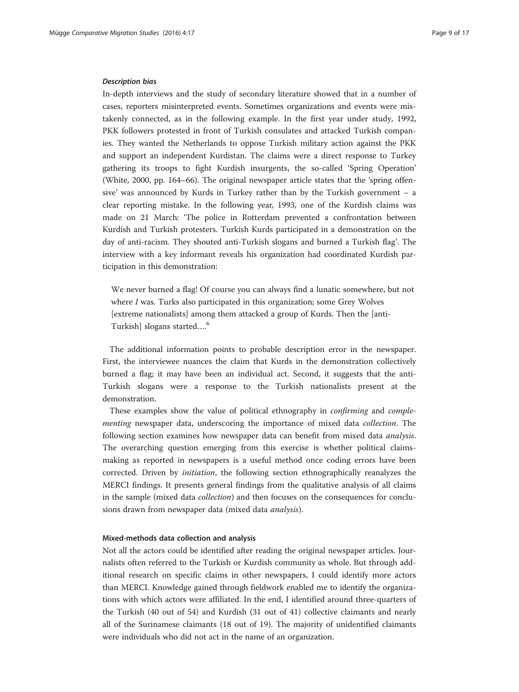#### Description bias

In-depth interviews and the study of secondary literature showed that in a number of cases, reporters misinterpreted events. Sometimes organizations and events were mistakenly connected, as in the following example. In the first year under study, 1992, PKK followers protested in front of Turkish consulates and attacked Turkish companies. They wanted the Netherlands to oppose Turkish military action against the PKK and support an independent Kurdistan. The claims were a direct response to Turkey gathering its troops to fight Kurdish insurgents, the so-called 'Spring Operation' (White, [2000](#page-16-0), pp. 164–66). The original newspaper article states that the 'spring offensive' was announced by Kurds in Turkey rather than by the Turkish government – a clear reporting mistake. In the following year, 1993, one of the Kurdish claims was made on 21 March: 'The police in Rotterdam prevented a confrontation between Kurdish and Turkish protesters. Turkish Kurds participated in a demonstration on the day of anti-racism. They shouted anti-Turkish slogans and burned a Turkish flag'. The interview with a key informant reveals his organization had coordinated Kurdish participation in this demonstration:

We never burned a flag! Of course you can always find a lunatic somewhere, but not where *I* was. Turks also participated in this organization; some Grey Wolves [extreme nationalists] among them attacked a group of Kurds. Then the [anti-Turkish] slogans started…. 6

The additional information points to probable description error in the newspaper. First, the interviewee nuances the claim that Kurds in the demonstration collectively burned a flag; it may have been an individual act. Second, it suggests that the anti-Turkish slogans were a response to the Turkish nationalists present at the demonstration.

These examples show the value of political ethnography in confirming and complementing newspaper data, underscoring the importance of mixed data *collection*. The following section examines how newspaper data can benefit from mixed data analysis. The overarching question emerging from this exercise is whether political claimsmaking as reported in newspapers is a useful method once coding errors have been corrected. Driven by initiation, the following section ethnographically reanalyzes the MERCI findings. It presents general findings from the qualitative analysis of all claims in the sample (mixed data collection) and then focuses on the consequences for conclusions drawn from newspaper data (mixed data analysis).

#### Mixed-methods data collection and analysis

Not all the actors could be identified after reading the original newspaper articles. Journalists often referred to the Turkish or Kurdish community as whole. But through additional research on specific claims in other newspapers, I could identify more actors than MERCI. Knowledge gained through fieldwork enabled me to identify the organizations with which actors were affiliated. In the end, I identified around three-quarters of the Turkish (40 out of 54) and Kurdish (31 out of 41) collective claimants and nearly all of the Surinamese claimants (18 out of 19). The majority of unidentified claimants were individuals who did not act in the name of an organization.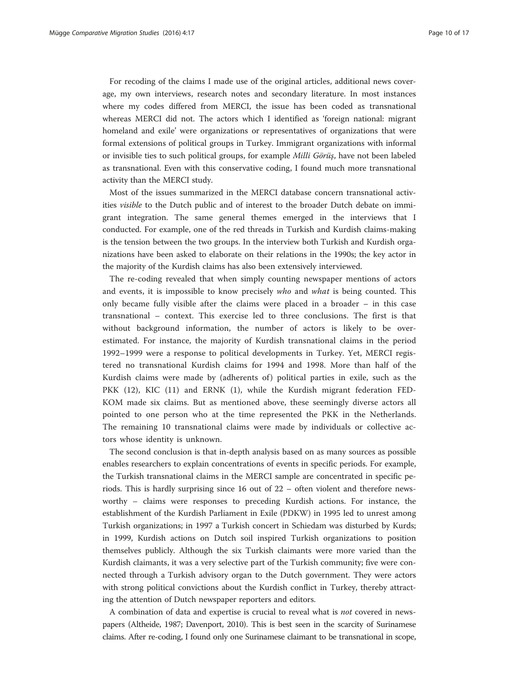For recoding of the claims I made use of the original articles, additional news coverage, my own interviews, research notes and secondary literature. In most instances where my codes differed from MERCI, the issue has been coded as transnational whereas MERCI did not. The actors which I identified as 'foreign national: migrant homeland and exile' were organizations or representatives of organizations that were formal extensions of political groups in Turkey. Immigrant organizations with informal or invisible ties to such political groups, for example Milli Görüş, have not been labeled as transnational. Even with this conservative coding, I found much more transnational activity than the MERCI study.

Most of the issues summarized in the MERCI database concern transnational activities visible to the Dutch public and of interest to the broader Dutch debate on immigrant integration. The same general themes emerged in the interviews that I conducted. For example, one of the red threads in Turkish and Kurdish claims-making is the tension between the two groups. In the interview both Turkish and Kurdish organizations have been asked to elaborate on their relations in the 1990s; the key actor in the majority of the Kurdish claims has also been extensively interviewed.

The re-coding revealed that when simply counting newspaper mentions of actors and events, it is impossible to know precisely who and what is being counted. This only became fully visible after the claims were placed in a broader – in this case transnational – context. This exercise led to three conclusions. The first is that without background information, the number of actors is likely to be overestimated. For instance, the majority of Kurdish transnational claims in the period 1992–1999 were a response to political developments in Turkey. Yet, MERCI registered no transnational Kurdish claims for 1994 and 1998. More than half of the Kurdish claims were made by (adherents of) political parties in exile, such as the PKK (12), KIC (11) and ERNK (1), while the Kurdish migrant federation FED-KOM made six claims. But as mentioned above, these seemingly diverse actors all pointed to one person who at the time represented the PKK in the Netherlands. The remaining 10 transnational claims were made by individuals or collective actors whose identity is unknown.

The second conclusion is that in-depth analysis based on as many sources as possible enables researchers to explain concentrations of events in specific periods. For example, the Turkish transnational claims in the MERCI sample are concentrated in specific periods. This is hardly surprising since 16 out of 22 – often violent and therefore newsworthy – claims were responses to preceding Kurdish actions. For instance, the establishment of the Kurdish Parliament in Exile (PDKW) in 1995 led to unrest among Turkish organizations; in 1997 a Turkish concert in Schiedam was disturbed by Kurds; in 1999, Kurdish actions on Dutch soil inspired Turkish organizations to position themselves publicly. Although the six Turkish claimants were more varied than the Kurdish claimants, it was a very selective part of the Turkish community; five were connected through a Turkish advisory organ to the Dutch government. They were actors with strong political convictions about the Kurdish conflict in Turkey, thereby attracting the attention of Dutch newspaper reporters and editors.

A combination of data and expertise is crucial to reveal what is not covered in newspapers (Altheide, [1987;](#page-14-0) Davenport, [2010\)](#page-15-0). This is best seen in the scarcity of Surinamese claims. After re-coding, I found only one Surinamese claimant to be transnational in scope,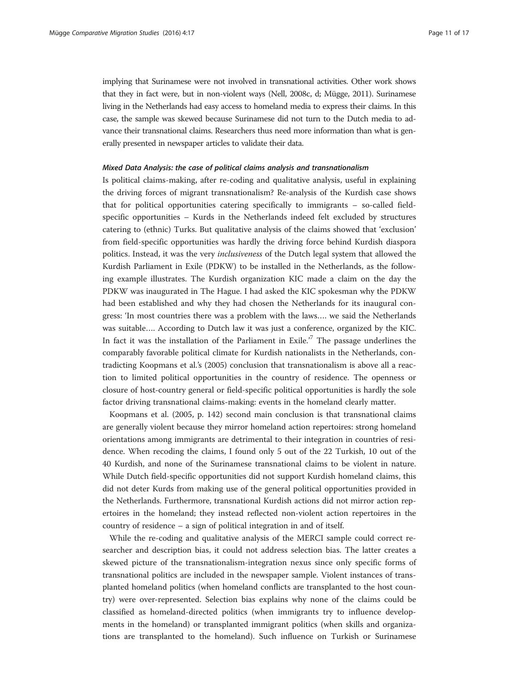implying that Surinamese were not involved in transnational activities. Other work shows that they in fact were, but in non-violent ways (Nell, [2008c](#page-16-0), [d;](#page-16-0) Mügge, [2011\)](#page-16-0). Surinamese living in the Netherlands had easy access to homeland media to express their claims. In this case, the sample was skewed because Surinamese did not turn to the Dutch media to advance their transnational claims. Researchers thus need more information than what is generally presented in newspaper articles to validate their data.

#### Mixed Data Analysis: the case of political claims analysis and transnationalism

Is political claims-making, after re-coding and qualitative analysis, useful in explaining the driving forces of migrant transnationalism? Re-analysis of the Kurdish case shows that for political opportunities catering specifically to immigrants – so-called fieldspecific opportunities – Kurds in the Netherlands indeed felt excluded by structures catering to (ethnic) Turks. But qualitative analysis of the claims showed that 'exclusion' from field-specific opportunities was hardly the driving force behind Kurdish diaspora politics. Instead, it was the very inclusiveness of the Dutch legal system that allowed the Kurdish Parliament in Exile (PDKW) to be installed in the Netherlands, as the following example illustrates. The Kurdish organization KIC made a claim on the day the PDKW was inaugurated in The Hague. I had asked the KIC spokesman why the PDKW had been established and why they had chosen the Netherlands for its inaugural congress: 'In most countries there was a problem with the laws…. we said the Netherlands was suitable…. According to Dutch law it was just a conference, organized by the KIC. In fact it was the installation of the Parliament in Exile.<sup>7</sup> The passage underlines the comparably favorable political climate for Kurdish nationalists in the Netherlands, contradicting Koopmans et al.'s ([2005\)](#page-15-0) conclusion that transnationalism is above all a reaction to limited political opportunities in the country of residence. The openness or closure of host-country general or field-specific political opportunities is hardly the sole factor driving transnational claims-making: events in the homeland clearly matter.

Koopmans et al. ([2005,](#page-15-0) p. 142) second main conclusion is that transnational claims are generally violent because they mirror homeland action repertoires: strong homeland orientations among immigrants are detrimental to their integration in countries of residence. When recoding the claims, I found only 5 out of the 22 Turkish, 10 out of the 40 Kurdish, and none of the Surinamese transnational claims to be violent in nature. While Dutch field-specific opportunities did not support Kurdish homeland claims, this did not deter Kurds from making use of the general political opportunities provided in the Netherlands. Furthermore, transnational Kurdish actions did not mirror action repertoires in the homeland; they instead reflected non-violent action repertoires in the country of residence – a sign of political integration in and of itself.

While the re-coding and qualitative analysis of the MERCI sample could correct researcher and description bias, it could not address selection bias. The latter creates a skewed picture of the transnationalism-integration nexus since only specific forms of transnational politics are included in the newspaper sample. Violent instances of transplanted homeland politics (when homeland conflicts are transplanted to the host country) were over-represented. Selection bias explains why none of the claims could be classified as homeland-directed politics (when immigrants try to influence developments in the homeland) or transplanted immigrant politics (when skills and organizations are transplanted to the homeland). Such influence on Turkish or Surinamese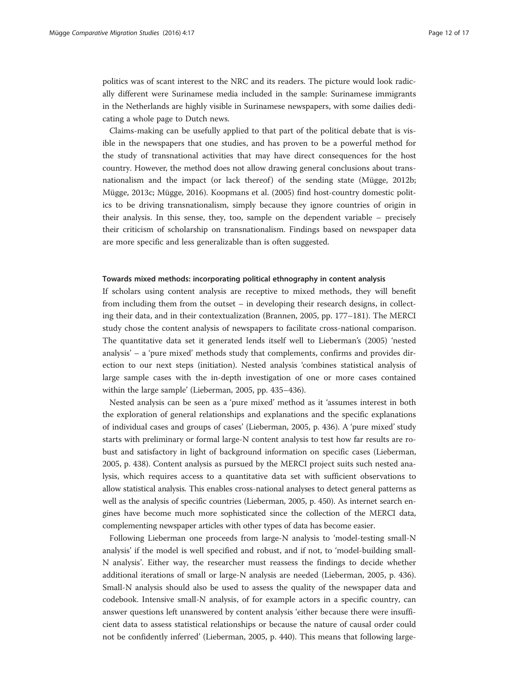politics was of scant interest to the NRC and its readers. The picture would look radically different were Surinamese media included in the sample: Surinamese immigrants in the Netherlands are highly visible in Surinamese newspapers, with some dailies dedicating a whole page to Dutch news.

Claims-making can be usefully applied to that part of the political debate that is visible in the newspapers that one studies, and has proven to be a powerful method for the study of transnational activities that may have direct consequences for the host country. However, the method does not allow drawing general conclusions about trans-nationalism and the impact (or lack thereof) of the sending state (Mügge, [2012b](#page-16-0); Mügge, [2013c](#page-16-0); Mügge, [2016\)](#page-16-0). Koopmans et al. [\(2005\)](#page-15-0) find host-country domestic politics to be driving transnationalism, simply because they ignore countries of origin in their analysis. In this sense, they, too, sample on the dependent variable – precisely their criticism of scholarship on transnationalism. Findings based on newspaper data are more specific and less generalizable than is often suggested.

#### Towards mixed methods: incorporating political ethnography in content analysis

If scholars using content analysis are receptive to mixed methods, they will benefit from including them from the outset – in developing their research designs, in collecting their data, and in their contextualization (Brannen, [2005,](#page-15-0) pp. 177–181). The MERCI study chose the content analysis of newspapers to facilitate cross-national comparison. The quantitative data set it generated lends itself well to Lieberman's [\(2005\)](#page-15-0) 'nested analysis' – a 'pure mixed' methods study that complements, confirms and provides direction to our next steps (initiation). Nested analysis 'combines statistical analysis of large sample cases with the in-depth investigation of one or more cases contained within the large sample' (Lieberman, [2005,](#page-15-0) pp. 435–436).

Nested analysis can be seen as a 'pure mixed' method as it 'assumes interest in both the exploration of general relationships and explanations and the specific explanations of individual cases and groups of cases' (Lieberman, [2005](#page-15-0), p. 436). A 'pure mixed' study starts with preliminary or formal large-N content analysis to test how far results are robust and satisfactory in light of background information on specific cases (Lieberman, [2005](#page-15-0), p. 438). Content analysis as pursued by the MERCI project suits such nested analysis, which requires access to a quantitative data set with sufficient observations to allow statistical analysis. This enables cross-national analyses to detect general patterns as well as the analysis of specific countries (Lieberman, [2005](#page-15-0), p. 450). As internet search engines have become much more sophisticated since the collection of the MERCI data, complementing newspaper articles with other types of data has become easier.

Following Lieberman one proceeds from large-N analysis to 'model-testing small-N analysis' if the model is well specified and robust, and if not, to 'model-building small-N analysis'. Either way, the researcher must reassess the findings to decide whether additional iterations of small or large-N analysis are needed (Lieberman, [2005](#page-15-0), p. 436). Small-N analysis should also be used to assess the quality of the newspaper data and codebook. Intensive small-N analysis, of for example actors in a specific country, can answer questions left unanswered by content analysis 'either because there were insufficient data to assess statistical relationships or because the nature of causal order could not be confidently inferred' (Lieberman, [2005,](#page-15-0) p. 440). This means that following large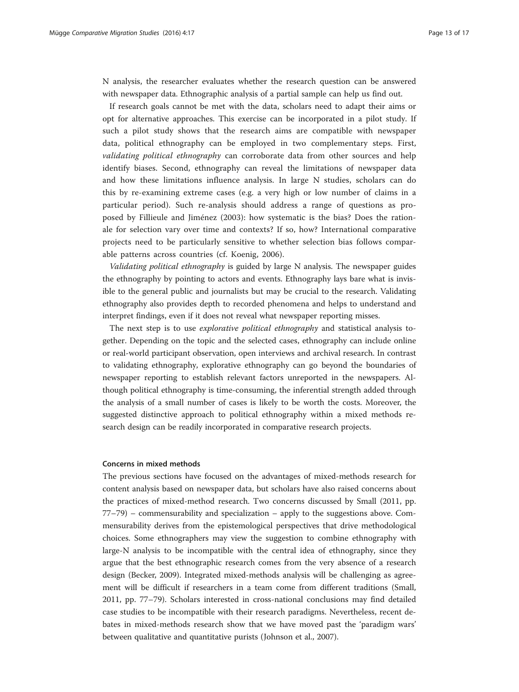N analysis, the researcher evaluates whether the research question can be answered with newspaper data. Ethnographic analysis of a partial sample can help us find out.

If research goals cannot be met with the data, scholars need to adapt their aims or opt for alternative approaches. This exercise can be incorporated in a pilot study. If such a pilot study shows that the research aims are compatible with newspaper data, political ethnography can be employed in two complementary steps. First, validating political ethnography can corroborate data from other sources and help identify biases. Second, ethnography can reveal the limitations of newspaper data and how these limitations influence analysis. In large N studies, scholars can do this by re-examining extreme cases (e.g. a very high or low number of claims in a particular period). Such re-analysis should address a range of questions as proposed by Fillieule and Jiménez [\(2003](#page-15-0)): how systematic is the bias? Does the rationale for selection vary over time and contexts? If so, how? International comparative projects need to be particularly sensitive to whether selection bias follows comparable patterns across countries (cf. Koenig, [2006\)](#page-15-0).

Validating political ethnography is guided by large N analysis. The newspaper guides the ethnography by pointing to actors and events. Ethnography lays bare what is invisible to the general public and journalists but may be crucial to the research. Validating ethnography also provides depth to recorded phenomena and helps to understand and interpret findings, even if it does not reveal what newspaper reporting misses.

The next step is to use *explorative political ethnography* and statistical analysis together. Depending on the topic and the selected cases, ethnography can include online or real-world participant observation, open interviews and archival research. In contrast to validating ethnography, explorative ethnography can go beyond the boundaries of newspaper reporting to establish relevant factors unreported in the newspapers. Although political ethnography is time-consuming, the inferential strength added through the analysis of a small number of cases is likely to be worth the costs. Moreover, the suggested distinctive approach to political ethnography within a mixed methods research design can be readily incorporated in comparative research projects.

#### Concerns in mixed methods

The previous sections have focused on the advantages of mixed-methods research for content analysis based on newspaper data, but scholars have also raised concerns about the practices of mixed-method research. Two concerns discussed by Small [\(2011,](#page-16-0) pp. 77–79) – commensurability and specialization – apply to the suggestions above. Commensurability derives from the epistemological perspectives that drive methodological choices. Some ethnographers may view the suggestion to combine ethnography with large-N analysis to be incompatible with the central idea of ethnography, since they argue that the best ethnographic research comes from the very absence of a research design (Becker, [2009\)](#page-14-0). Integrated mixed-methods analysis will be challenging as agreement will be difficult if researchers in a team come from different traditions (Small, [2011](#page-16-0), pp. 77–79). Scholars interested in cross-national conclusions may find detailed case studies to be incompatible with their research paradigms. Nevertheless, recent debates in mixed-methods research show that we have moved past the 'paradigm wars' between qualitative and quantitative purists (Johnson et al., [2007](#page-15-0)).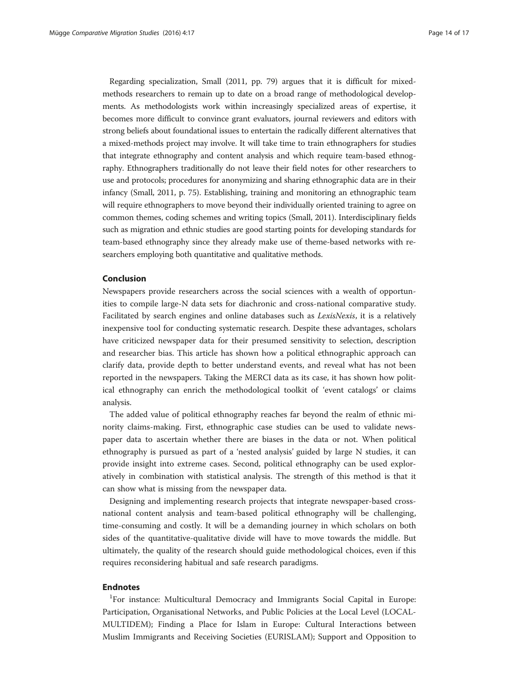Regarding specialization, Small [\(2011,](#page-16-0) pp. 79) argues that it is difficult for mixedmethods researchers to remain up to date on a broad range of methodological developments. As methodologists work within increasingly specialized areas of expertise, it becomes more difficult to convince grant evaluators, journal reviewers and editors with strong beliefs about foundational issues to entertain the radically different alternatives that a mixed-methods project may involve. It will take time to train ethnographers for studies that integrate ethnography and content analysis and which require team-based ethnography. Ethnographers traditionally do not leave their field notes for other researchers to use and protocols; procedures for anonymizing and sharing ethnographic data are in their infancy (Small, [2011,](#page-16-0) p. 75). Establishing, training and monitoring an ethnographic team will require ethnographers to move beyond their individually oriented training to agree on common themes, coding schemes and writing topics (Small, [2011\)](#page-16-0). Interdisciplinary fields such as migration and ethnic studies are good starting points for developing standards for team-based ethnography since they already make use of theme-based networks with researchers employing both quantitative and qualitative methods.

#### Conclusion

Newspapers provide researchers across the social sciences with a wealth of opportunities to compile large-N data sets for diachronic and cross-national comparative study. Facilitated by search engines and online databases such as *LexisNexis*, it is a relatively inexpensive tool for conducting systematic research. Despite these advantages, scholars have criticized newspaper data for their presumed sensitivity to selection, description and researcher bias. This article has shown how a political ethnographic approach can clarify data, provide depth to better understand events, and reveal what has not been reported in the newspapers. Taking the MERCI data as its case, it has shown how political ethnography can enrich the methodological toolkit of 'event catalogs' or claims analysis.

The added value of political ethnography reaches far beyond the realm of ethnic minority claims-making. First, ethnographic case studies can be used to validate newspaper data to ascertain whether there are biases in the data or not. When political ethnography is pursued as part of a 'nested analysis' guided by large N studies, it can provide insight into extreme cases. Second, political ethnography can be used exploratively in combination with statistical analysis. The strength of this method is that it can show what is missing from the newspaper data.

Designing and implementing research projects that integrate newspaper-based crossnational content analysis and team-based political ethnography will be challenging, time-consuming and costly. It will be a demanding journey in which scholars on both sides of the quantitative-qualitative divide will have to move towards the middle. But ultimately, the quality of the research should guide methodological choices, even if this requires reconsidering habitual and safe research paradigms.

#### Endnotes

<sup>1</sup>For instance: Multicultural Democracy and Immigrants Social Capital in Europe: Participation, Organisational Networks, and Public Policies at the Local Level (LOCAL-MULTIDEM); Finding a Place for Islam in Europe: Cultural Interactions between Muslim Immigrants and Receiving Societies (EURISLAM); Support and Opposition to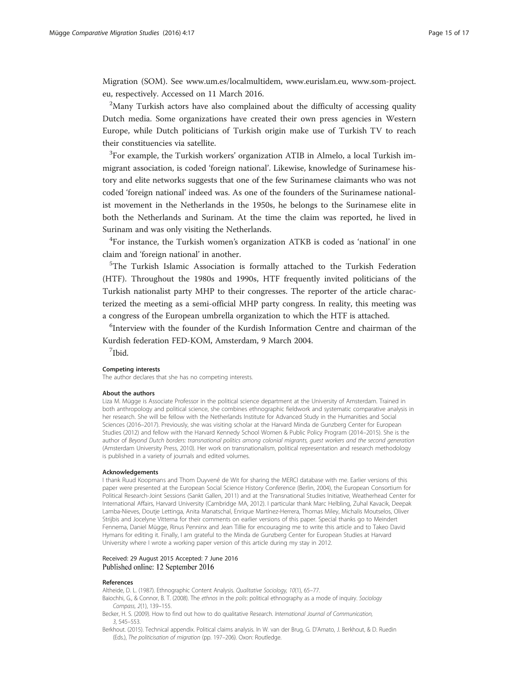<span id="page-14-0"></span>Migration (SOM). See [www.um.es/localmultidem](http://www.um.es/localmultidem), [www.eurislam.eu,](http://www.eurislam.eu) [www.som-project.](http://www.som-project.eu) [eu](http://www.som-project.eu), respectively. Accessed on 11 March 2016.

 $2$ Many Turkish actors have also complained about the difficulty of accessing quality Dutch media. Some organizations have created their own press agencies in Western Europe, while Dutch politicians of Turkish origin make use of Turkish TV to reach their constituencies via satellite.

<sup>3</sup>For example, the Turkish workers' organization ATIB in Almelo, a local Turkish immigrant association, is coded 'foreign national'. Likewise, knowledge of Surinamese history and elite networks suggests that one of the few Surinamese claimants who was not coded 'foreign national' indeed was. As one of the founders of the Surinamese nationalist movement in the Netherlands in the 1950s, he belongs to the Surinamese elite in both the Netherlands and Surinam. At the time the claim was reported, he lived in Surinam and was only visiting the Netherlands.

<sup>4</sup>For instance, the Turkish women's organization ATKB is coded as 'national' in one claim and 'foreign national' in another.

<sup>5</sup>The Turkish Islamic Association is formally attached to the Turkish Federation (HTF). Throughout the 1980s and 1990s, HTF frequently invited politicians of the Turkish nationalist party MHP to their congresses. The reporter of the article characterized the meeting as a semi-official MHP party congress. In reality, this meeting was a congress of the European umbrella organization to which the HTF is attached.

<sup>6</sup>Interview with the founder of the Kurdish Information Centre and chairman of the Kurdish federation FED-KOM, Amsterdam, 9 March 2004.

7 Ibid.

#### Competing interests

The author declares that she has no competing interests.

#### About the authors

Liza M. Mügge is Associate Professor in the political science department at the University of Amsterdam. Trained in both anthropology and political science, she combines ethnographic fieldwork and systematic comparative analysis in her research. She will be fellow with the Netherlands Institute for Advanced Study in the Humanities and Social Sciences (2016–2017). Previously, she was visiting scholar at the Harvard Minda de Gunzberg Center for European Studies (2012) and fellow with the Harvard Kennedy School Women & Public Policy Program (2014–2015). She is the author of Beyond Dutch borders: transnational politics among colonial migrants, guest workers and the second generation (Amsterdam University Press, 2010). Her work on transnationalism, political representation and research methodology is published in a variety of journals and edited volumes.

#### Acknowledgements

I thank Ruud Koopmans and Thom Duyvené de Wit for sharing the MERCI database with me. Earlier versions of this paper were presented at the European Social Science History Conference (Berlin, 2004), the European Consortium for Political Research-Joint Sessions (Sankt Gallen, 2011) and at the Transnational Studies Initiative, Weatherhead Center for International Affairs, Harvard University (Cambridge MA, 2012). I particular thank Marc Helbling, Zuhal Kavacik, Deepak Lamba-Nieves, Doutje Lettinga, Anita Manatschal, Enrique Martínez-Herrera, Thomas Miley, Michalis Moutselos, Oliver Strijbis and Jocelyne Vitterna for their comments on earlier versions of this paper. Special thanks go to Meindert Fennema, Daniel Mügge, Rinus Penninx and Jean Tillie for encouraging me to write this article and to Takeo David Hymans for editing it. Finally, I am grateful to the Minda de Gunzberg Center for European Studies at Harvard University where I wrote a working paper version of this article during my stay in 2012.

#### Received: 29 August 2015 Accepted: 7 June 2016 Published online: 12 September 2016

#### References

Altheide, D. L. (1987). Ethnographic Content Analysis. Qualitative Sociology, 10(1), 65–77.

Baiochhi, G., & Connor, B. T. (2008). The ethnos in the polis: political ethnography as a mode of inquiry. Sociology Compass, 2(1), 139–155.

Becker, H. S. (2009). How to find out how to do qualitative Research. International Journal of Communication, 3, 545–553.

Berkhout. (2015). Technical appendix. Political claims analysis. In W. van der Brug, G. D'Amato, J. Berkhout, & D. Ruedin (Eds.), The politicisation of migration (pp. 197–206). Oxon: Routledge.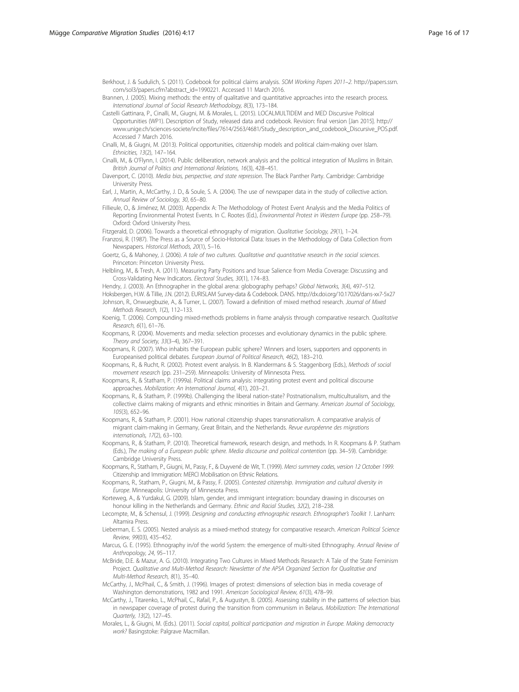<span id="page-15-0"></span>Berkhout, J. & Sudulich, S. (2011). Codebook for political claims analysis. SOM Working Papers 2011–2. [http://papers.ssrn.](http://papers.ssrn.com/sol3/papers.cfm?abstract_id=1990221) [com/sol3/papers.cfm?abstract\\_id=1990221](http://papers.ssrn.com/sol3/papers.cfm?abstract_id=1990221). Accessed 11 March 2016.

- Brannen, J. (2005). Mixing methods: the entry of qualitative and quantitative approaches into the research process. International Journal of Social Research Methodology, 8(3), 173–184.
- Castelli Gattinara, P., Cinalli, M., Giugni, M. & Morales, L. (2015). LOCALMULTIDEM and MED Discursive Political Opportunities (WP1). Description of Study, released data and codebook. Revision: final version [Jan 2015]. [http://](http://www.unige.ch/sciences-societe/incite/files/7614/2563/4681/Study_description_and_codebook_Discursive_POS.pdf) [www.unige.ch/sciences-societe/incite/files/7614/2563/4681/Study\\_description\\_and\\_codebook\\_Discursive\\_POS.pdf.](http://www.unige.ch/sciences-societe/incite/files/7614/2563/4681/Study_description_and_codebook_Discursive_POS.pdf) Accessed 7 March 2016.
- Cinalli, M., & Giugni, M. (2013). Political opportunities, citizenship models and political claim-making over Islam. Ethnicities, 13(2), 147–164.
- Cinalli, M., & O'Flynn, I. (2014). Public deliberation, network analysis and the political integration of Muslims in Britain. British Journal of Politics and International Relations, 16(3), 428–451.
- Davenport, C. (2010). Media bias, perspective, and state repression. The Black Panther Party. Cambridge: Cambridge University Press.
- Earl, J., Martin, A., McCarthy, J. D., & Soule, S. A. (2004). The use of newspaper data in the study of collective action. Annual Review of Sociology, 30, 65–80.
- Fillieule, O., & Jiménez, M. (2003). Appendix A: The Methodology of Protest Event Analysis and the Media Politics of Reporting Environmental Protest Events. In C. Rootes (Ed.), Environmental Protest in Western Europe (pp. 258–79). Oxford: Oxford University Press.
- Fitzgerald, D. (2006). Towards a theoretical ethnography of migration. Qualitative Sociology, 29(1), 1–24.
- Franzosi, R. (1987). The Press as a Source of Socio-Historical Data: Issues in the Methodology of Data Collection from Newspapers. Historical Methods, 20(1), 5–16.
- Goertz, G., & Mahoney, J. (2006). A tale of two cultures. Qualitative and quantitative research in the social sciences. Princeton: Princeton University Press.
- Helbling, M., & Tresh, A. (2011). Measuring Party Positions and Issue Salience from Media Coverage: Discussing and Cross-Validating New Indicators. Electoral Studies, 30(1), 174–83.
- Hendry, J. (2003). An Ethnographer in the global arena: globography perhaps? Global Networks, 3(4), 497–512.
- Hoksbergen, H.W. & Tillie, J.N. (2012). EURISLAM Survey-data & Codebook. DANS.<http://dx.doi.org/10.17026/dans-xx7-5x27> Johnson, R., Onwuegbuzie, A., & Turner, L. (2007). Toward a definition of mixed method research. Journal of Mixed Methods Research, 1(2), 112–133.
- Koenig, T. (2006). Compounding mixed-methods problems in frame analysis through comparative research. Qualitative Research, 6(1), 61–76.
- Koopmans, R. (2004). Movements and media: selection processes and evolutionary dynamics in the public sphere. Theory and Society, 33(3–4), 367–391.
- Koopmans, R. (2007). Who inhabits the European public sphere? Winners and losers, supporters and opponents in Europeanised political debates. European Journal of Political Research, 46(2), 183–210.
- Koopmans, R., & Rucht, R. (2002). Protest event analysis. In B. Klandermans & S. Staggenborg (Eds.), Methods of social movement research (pp. 231–259). Minneapolis: University of Minnesota Press.
- Koopmans, R., & Statham, P. (1999a). Political claims analysis: integrating protest event and political discourse approaches. Mobilization: An International Journal, 4(1), 203–21.
- Koopmans, R., & Statham, P. (1999b). Challenging the liberal nation-state? Postnationalism, multiculturalism, and the collective claims making of migrants and ethnic minorities in Britain and Germany. American Journal of Sociology, 105(3), 652–96.
- Koopmans, R., & Statham, P. (2001). How national citizenship shapes transnationalism. A comparative analysis of migrant claim-making in Germany, Great Britain, and the Netherlands. Revue européenne des migrations internationals, 17(2), 63–100.
- Koopmans, R., & Statham, P. (2010). Theoretical framework, research design, and methods. In R. Koopmans & P. Statham (Eds.), The making of a European public sphere. Media discourse and political contention (pp. 34–59). Cambridge: Cambridge University Press.
- Koopmans, R., Statham, P., Giugni, M., Passy, F., & Duyvené de Wit, T. (1999). Merci summery codes, version 12 October 1999. Citizenship and Immigration: MERCI Mobilisation on Ethnic Relations.
- Koopmans, R., Statham, P., Giugni, M., & Passy, F. (2005). Contested citizenship. Immigration and cultural diversity in Europe. Minneapolis: University of Minnesota Press.
- Korteweg, A., & Yurdakul, G. (2009). Islam, gender, and immigrant integration: boundary drawing in discourses on honour killing in the Netherlands and Germany. Ethnic and Racial Studies, 32(2), 218–238.
- Lecompte, M., & Schensul, J. (1999). Designing and conducting ethnographic research. Ethnographer's Toolkit 1. Lanham: Altamira Press.
- Lieberman, E. S. (2005). Nested analysis as a mixed-method strategy for comparative research. American Political Science Review, 99(03), 435–452.
- Marcus, G. E. (1995). Ethnography in/of the world System: the emergence of multi-sited Ethnography. Annual Review of Anthropology, 24, 95–117.
- McBride, D.E. & Mazur, A. G. (2010). Integrating Two Cultures in Mixed Methods Research: A Tale of the State Feminism Project. Qualitative and Multi-Method Research: Newsletter of the APSA Organized Section for Qualitative and Multi-Method Research, 8(1), 35–40.
- McCarthy, J., McPhail, C., & Smith, J. (1996). Images of protest: dimensions of selection bias in media coverage of Washington demonstrations, 1982 and 1991. American Sociological Review, 61(3), 478–99.
- McCarthy, J., Titarenko, L., McPhail, C., Rafail, P., & Augustyn, B. (2005). Assessing stability in the patterns of selection bias in newspaper coverage of protest during the transition from communism in Belarus. Mobilization: The International Quarterly, 13(2), 127–45.
- Morales, L., & Giugni, M. (Eds.). (2011). Social capital, political participation and migration in Europe. Making democracty work? Basingstoke: Palgrave Macmillan.